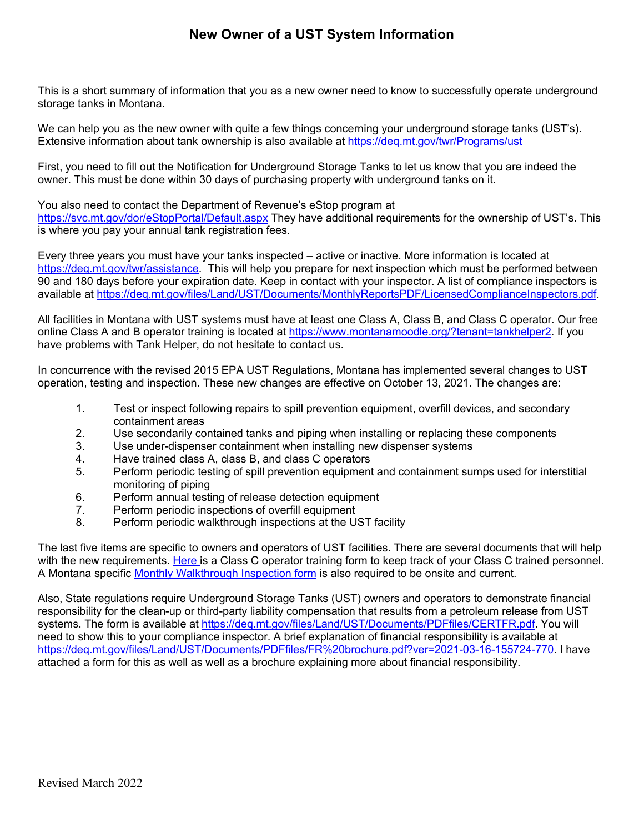## **New Owner of a UST System Information**

This is a short summary of information that you as a new owner need to know to successfully operate underground storage tanks in Montana.

We can help you as the new owner with quite a few things concerning your underground storage tanks (UST's). Extensive information about tank ownership is also available a[t https://deq.mt.gov/twr/Programs/ust](https://deq.mt.gov/twr/Programs/ust) 

First, you need to fill out the Notification for Underground Storage Tanks to let us know that you are indeed the owner. This must be done within 30 days of purchasing property with underground tanks on it.

You also need to contact the Department of Revenue's eStop program at

<https://svc.mt.gov/dor/eStopPortal/Default.aspx> They have additional requirements for the ownership of UST's. This is where you pay your annual tank registration fees.

Every three years you must have your tanks inspected – active or inactive. More information is located at [https://deq.mt.gov/twr/assistance.](https://deq.mt.gov/twr/assistance) This will help you prepare for next inspection which must be performed between 90 and 180 days before your expiration date. Keep in contact with your inspector. A list of compliance inspectors is available at [https://deq.mt.gov/files/Land/UST/Documents/MonthlyReportsPDF/LicensedComplianceInspectors.pdf.](https://deq.mt.gov/files/Land/UST/Documents/MonthlyReportsPDF/LicensedComplianceInspectors.pdf)

All facilities in Montana with UST systems must have at least one Class A, Class B, and Class C operator. Our free online Class A and B operator training is located a[t https://www.montanamoodle.org/?tenant=tankhelper2.](https://www.montanamoodle.org/?tenant=tankhelper2) If you have problems with Tank Helper, do not hesitate to contact us.

In concurrence with the revised 2015 EPA UST Regulations, Montana has implemented several changes to UST operation, testing and inspection. These new changes are effective on October 13, 2021. The changes are:

- 1. Test or inspect following repairs to spill prevention equipment, overfill devices, and secondary containment areas
- 2. Use secondarily contained tanks and piping when installing or replacing these components
- 3. Use under-dispenser containment when installing new dispenser systems
- 4. Have trained class A, class B, and class C operators
- 5. Perform periodic testing of spill prevention equipment and containment sumps used for interstitial monitoring of piping
- 6. Perform annual testing of release detection equipment<br>7. Perform periodic inspections of overfill equipment
- Perform periodic inspections of overfill equipment
- 8. Perform periodic walkthrough inspections at the UST facility

The last five items are specific to owners and operators of UST facilities. There are several documents that will help with the new requirements. [Here i](https://deq.mt.gov/files/Land/UST/Documents/PDFfiles/ClassCoperatorsform.pdf)s a Class C operator training form to keep track of your Class C trained personnel. A Montana specific [Monthly Walkthrough Inspection form](https://deq.mt.gov/files/Land/UST/Documents/PDFfiles/WalkthroughInspectionForm.pdf) is also required to be onsite and current.

Also, State regulations require Underground Storage Tanks (UST) owners and operators to demonstrate financial responsibility for the clean-up or third-party liability compensation that results from a petroleum release from UST systems. The form is available at [https://deq.mt.gov/files/Land/UST/Documents/PDFfiles/CERTFR.pdf.](https://deq.mt.gov/files/Land/UST/Documents/PDFfiles/CERTFR.pdf) You will need to show this to your compliance inspector. A brief explanation of financial responsibility is available at [https://deq.mt.gov/files/Land/UST/Documents/PDFfiles/FR%20brochure.pdf?ver=2021-03-16-155724-770.](https://deq.mt.gov/files/Land/UST/Documents/PDFfiles/FR%20brochure.pdf?ver=2021-03-16-155724-770) I have attached a form for this as well as well as a brochure explaining more about financial responsibility.